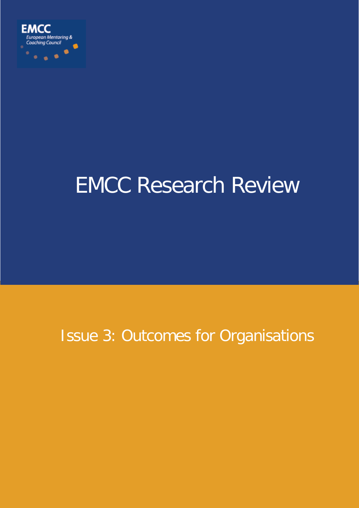

# EMCC Research Review

# Issue 3: Outcomes for Organisations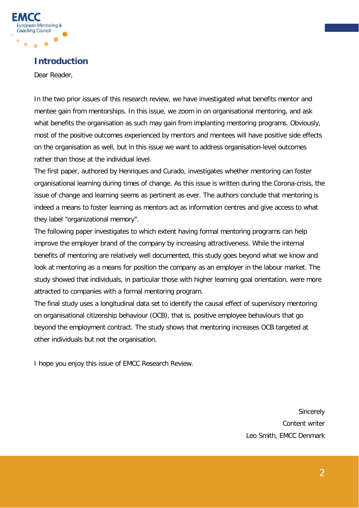

# **Introduction**

Dear Reader,

In the two prior issues of this research review, we have investigated what benefits mentor and mentee gain from mentorships. In this issue, we zoom in on organisational mentoring, and ask what benefits the organisation as such may gain from implanting mentoring programs. Obviously, most of the positive outcomes experienced by mentors and mentees will have positive side effects on the organisation as well, but in this issue we want to address organisation-level outcomes rather than those at the individual level.

The first paper, authored by Henriques and Curado, investigates whether mentoring can foster organisational learning during times of change. As this issue is written during the Corona-crisis, the issue of change and learning seems as pertinent as ever. The authors conclude that mentoring is indeed a means to foster learning as mentors act as information centres and give access to what they label "organizational memory".

The following paper investigates to which extent having formal mentoring programs can help improve the employer brand of the company by increasing attractiveness. While the internal benefits of mentoring are relatively well documented, this study goes beyond what we know and look at mentoring as a means for position the company as an employer in the labour market. The study showed that individuals, in particular those with higher learning goal orientation, were more attracted to companies with a formal mentoring program.

The final study uses a longitudinal data set to identify the causal effect of supervisory mentoring on organisational citizenship behaviour (OCB), that is, positive employee behaviours that go beyond the employment contract. The study shows that mentoring increases OCB targeted at other individuals but not the organisation.

I hope you enjoy this issue of EMCC Research Review.

**Sincerely** Content writer Leo Smith, EMCC Denmark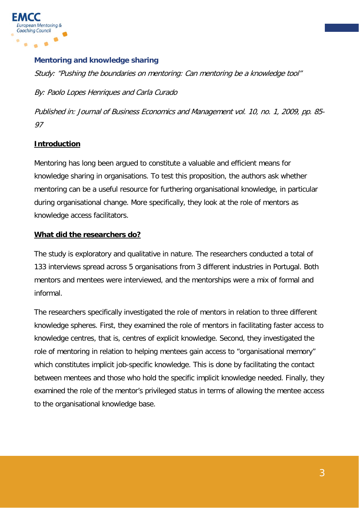

#### **Mentoring and knowledge sharing**

Study: "Pushing the boundaries on mentoring: Can mentoring be a knowledge tool"

By: Paolo Lopes Henriques and Carla Curado

Published in: Journal of Business Economics and Management vol. 10, no. 1, 2009, pp. 85- 97

# **Introduction**

Mentoring has long been argued to constitute a valuable and efficient means for knowledge sharing in organisations. To test this proposition, the authors ask whether mentoring can be a useful resource for furthering organisational knowledge, in particular during organisational change. More specifically, they look at the role of mentors as knowledge access facilitators.

#### **What did the researchers do?**

The study is exploratory and qualitative in nature. The researchers conducted a total of 133 interviews spread across 5 organisations from 3 different industries in Portugal. Both mentors and mentees were interviewed, and the mentorships were a mix of formal and informal.

The researchers specifically investigated the role of mentors in relation to three different knowledge spheres. First, they examined the role of mentors in facilitating faster access to knowledge centres, that is, centres of explicit knowledge. Second, they investigated the role of mentoring in relation to helping mentees gain access to "organisational memory" which constitutes implicit job-specific knowledge. This is done by facilitating the contact between mentees and those who hold the specific implicit knowledge needed. Finally, they examined the role of the mentor's privileged status in terms of allowing the mentee access to the organisational knowledge base.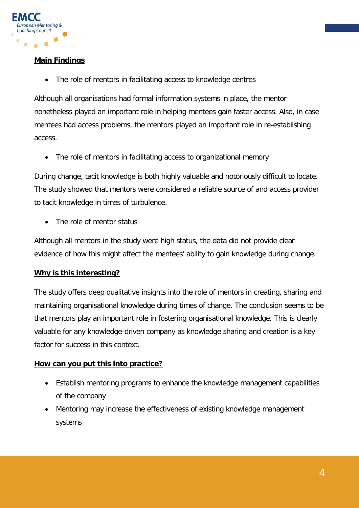

# **Main Findings**

The role of mentors in facilitating access to knowledge centres

Although all organisations had formal information systems in place, the mentor nonetheless played an important role in helping mentees gain faster access. Also, in case mentees had access problems, the mentors played an important role in re-establishing access.

• The role of mentors in facilitating access to organizational memory

During change, tacit knowledge is both highly valuable and notoriously difficult to locate. The study showed that mentors were considered a reliable source of and access provider to tacit knowledge in times of turbulence.

The role of mentor status

Although all mentors in the study were high status, the data did not provide clear evidence of how this might affect the mentees' ability to gain knowledge during change.

# **Why is this interesting?**

The study offers deep qualitative insights into the role of mentors in creating, sharing and maintaining organisational knowledge during times of change. The conclusion seems to be that mentors play an important role in fostering organisational knowledge. This is clearly valuable for any knowledge-driven company as knowledge sharing and creation is a key factor for success in this context.

# **How can you put this into practice?**

- Establish mentoring programs to enhance the knowledge management capabilities of the company
- Mentoring may increase the effectiveness of existing knowledge management systems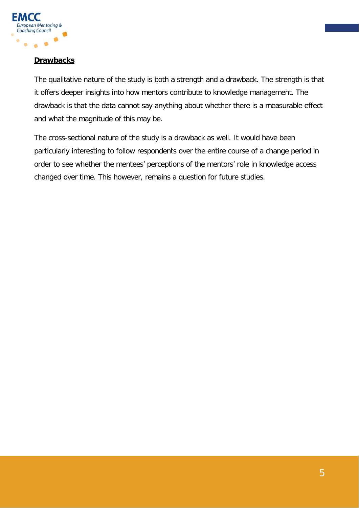

# **Drawbacks**

The qualitative nature of the study is both a strength and a drawback. The strength is that it offers deeper insights into how mentors contribute to knowledge management. The drawback is that the data cannot say anything about whether there is a measurable effect and what the magnitude of this may be.

The cross-sectional nature of the study is a drawback as well. It would have been particularly interesting to follow respondents over the entire course of a change period in order to see whether the mentees' perceptions of the mentors' role in knowledge access changed over time. This however, remains a question for future studies.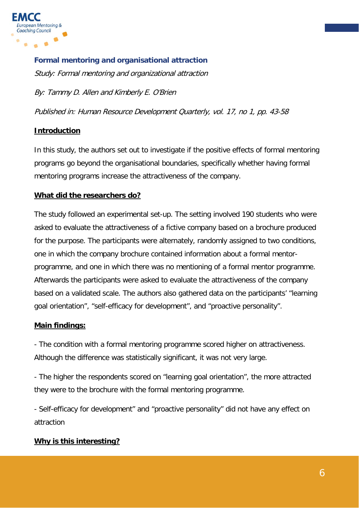

**Formal mentoring and organisational attraction** Study: Formal mentoring and organizational attraction

By: Tammy D. Allen and Kimberly E. O'Brien

Published in: Human Resource Development Quarterly, vol. 17, no 1, pp. 43-58

# **Introduction**

In this study, the authors set out to investigate if the positive effects of formal mentoring programs go beyond the organisational boundaries, specifically whether having formal mentoring programs increase the attractiveness of the company.

# **What did the researchers do?**

The study followed an experimental set-up. The setting involved 190 students who were asked to evaluate the attractiveness of a fictive company based on a brochure produced for the purpose. The participants were alternately, randomly assigned to two conditions, one in which the company brochure contained information about a formal mentorprogramme, and one in which there was no mentioning of a formal mentor programme. Afterwards the participants were asked to evaluate the attractiveness of the company based on a validated scale. The authors also gathered data on the participants' "learning goal orientation", "self-efficacy for development", and "proactive personality".

# **Main findings:**

- The condition with a formal mentoring programme scored higher on attractiveness. Although the difference was statistically significant, it was not very large.

- The higher the respondents scored on "learning goal orientation", the more attracted they were to the brochure with the formal mentoring programme.

- Self-efficacy for development" and "proactive personality" did not have any effect on attraction

# **Why is this interesting?**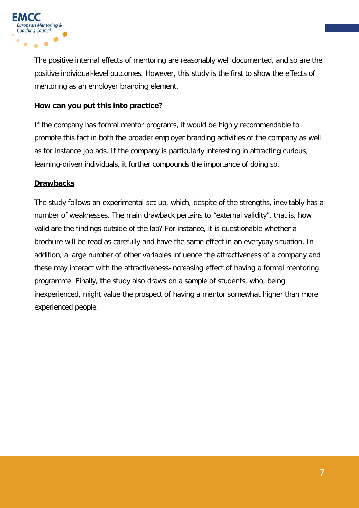

The positive internal effects of mentoring are reasonably well documented, and so are the positive individual-level outcomes. However, this study is the first to show the effects of mentoring as an employer branding element.

# **How can you put this into practice?**

If the company has formal mentor programs, it would be highly recommendable to promote this fact in both the broader employer branding activities of the company as well as for instance job ads. If the company is particularly interesting in attracting curious, learning-driven individuals, it further compounds the importance of doing so.

# **Drawbacks**

The study follows an experimental set-up, which, despite of the strengths, inevitably has a number of weaknesses. The main drawback pertains to "external validity", that is, how valid are the findings outside of the lab? For instance, it is questionable whether a brochure will be read as carefully and have the same effect in an everyday situation. In addition, a large number of other variables influence the attractiveness of a company and these may interact with the attractiveness-increasing effect of having a formal mentoring programme. Finally, the study also draws on a sample of students, who, being inexperienced, might value the prospect of having a mentor somewhat higher than more experienced people.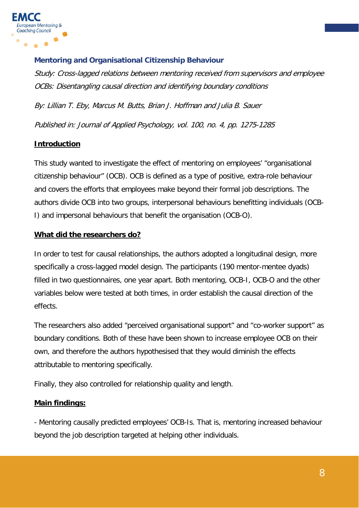

# **Mentoring and Organisational Citizenship Behaviour**

Study: Cross-lagged relations between mentoring received from supervisors and employee OCBs: Disentangling causal direction and identifying boundary conditions

By: Lillian T. Eby, Marcus M. Butts, Brian J. Hoffman and Julia B. Sauer Published in: Journal of Applied Psychology, vol. 100, no. 4, pp. 1275-1285

# **Introduction**

This study wanted to investigate the effect of mentoring on employees' "organisational citizenship behaviour" (OCB). OCB is defined as a type of positive, extra-role behaviour and covers the efforts that employees make beyond their formal job descriptions. The authors divide OCB into two groups, interpersonal behaviours benefitting individuals (OCB-I) and impersonal behaviours that benefit the organisation (OCB-O).

# **What did the researchers do?**

In order to test for causal relationships, the authors adopted a longitudinal design, more specifically a cross-lagged model design. The participants (190 mentor-mentee dyads) filled in two questionnaires, one year apart. Both mentoring, OCB-I, OCB-O and the other variables below were tested at both times, in order establish the causal direction of the effects.

The researchers also added "perceived organisational support" and "co-worker support" as boundary conditions. Both of these have been shown to increase employee OCB on their own, and therefore the authors hypothesised that they would diminish the effects attributable to mentoring specifically.

Finally, they also controlled for relationship quality and length.

# **Main findings:**

- Mentoring causally predicted employees' OCB-Is. That is, mentoring increased behaviour beyond the job description targeted at helping other individuals.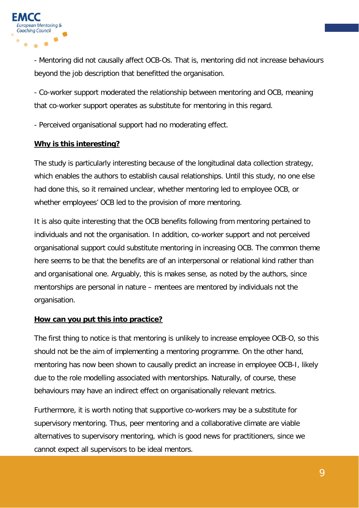

- Mentoring did not causally affect OCB-Os. That is, mentoring did not increase behaviours beyond the job description that benefitted the organisation.

- Co-worker support moderated the relationship between mentoring and OCB, meaning that co-worker support operates as substitute for mentoring in this regard.

- Perceived organisational support had no moderating effect.

#### **Why is this interesting?**

The study is particularly interesting because of the longitudinal data collection strategy, which enables the authors to establish causal relationships. Until this study, no one else had done this, so it remained unclear, whether mentoring led to employee OCB, or whether employees' OCB led to the provision of more mentoring.

It is also quite interesting that the OCB benefits following from mentoring pertained to individuals and not the organisation. In addition, co-worker support and not perceived organisational support could substitute mentoring in increasing OCB. The common theme here seems to be that the benefits are of an interpersonal or relational kind rather than and organisational one. Arguably, this is makes sense, as noted by the authors, since mentorships are personal in nature – mentees are mentored by individuals not the organisation.

#### **How can you put this into practice?**

The first thing to notice is that mentoring is unlikely to increase employee OCB-O, so this should not be the aim of implementing a mentoring programme. On the other hand, mentoring has now been shown to causally predict an increase in employee OCB-I, likely due to the role modelling associated with mentorships. Naturally, of course, these behaviours may have an indirect effect on organisationally relevant metrics.

Furthermore, it is worth noting that supportive co-workers may be a substitute for supervisory mentoring. Thus, peer mentoring and a collaborative climate are viable alternatives to supervisory mentoring, which is good news for practitioners, since we cannot expect all supervisors to be ideal mentors.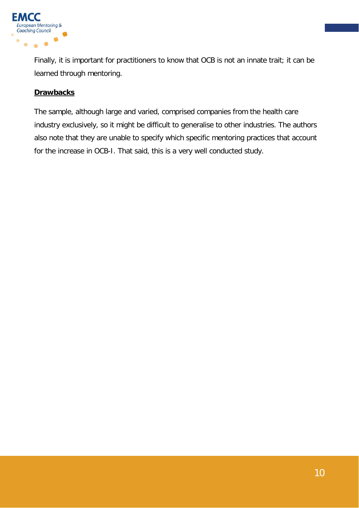

Finally, it is important for practitioners to know that OCB is not an innate trait; it can be learned through mentoring.

# **Drawbacks**

The sample, although large and varied, comprised companies from the health care industry exclusively, so it might be difficult to generalise to other industries. The authors also note that they are unable to specify which specific mentoring practices that account for the increase in OCB-I. That said, this is a very well conducted study.